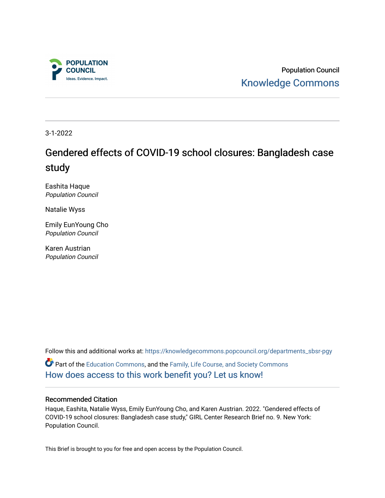

Population Council [Knowledge Commons](https://knowledgecommons.popcouncil.org/) 

3-1-2022

# Gendered effects of COVID-19 school closures: Bangladesh case study

Eashita Haque Population Council

Natalie Wyss

Emily EunYoung Cho Population Council

Karen Austrian Population Council

Follow this and additional works at: [https://knowledgecommons.popcouncil.org/departments\\_sbsr-pgy](https://knowledgecommons.popcouncil.org/departments_sbsr-pgy?utm_source=knowledgecommons.popcouncil.org%2Fdepartments_sbsr-pgy%2F1588&utm_medium=PDF&utm_campaign=PDFCoverPages)  Part of the [Education Commons](https://network.bepress.com/hgg/discipline/784?utm_source=knowledgecommons.popcouncil.org%2Fdepartments_sbsr-pgy%2F1588&utm_medium=PDF&utm_campaign=PDFCoverPages), and the [Family, Life Course, and Society Commons](https://network.bepress.com/hgg/discipline/419?utm_source=knowledgecommons.popcouncil.org%2Fdepartments_sbsr-pgy%2F1588&utm_medium=PDF&utm_campaign=PDFCoverPages) [How does access to this work benefit you? Let us know!](https://pcouncil.wufoo.com/forms/open-access-to-population-council-research/)

### Recommended Citation

Haque, Eashita, Natalie Wyss, Emily EunYoung Cho, and Karen Austrian. 2022. "Gendered effects of COVID-19 school closures: Bangladesh case study," GIRL Center Research Brief no. 9. New York: Population Council.

This Brief is brought to you for free and open access by the Population Council.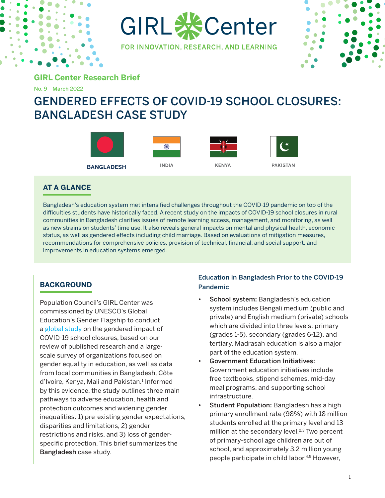

GIRL **※**Center FOR INNOVATION, RESEARCH, AND LEARNING



**GIRL Center Research Brief**

No. 9 March 2022

# GENDERED EFFECTS OF COVID-19 SCHOOL CLOSURES: BANGLADESH CASE STUDY



## **AT A GLANCE**

Bangladesh's education system met intensified challenges throughout the COVID-19 pandemic on top of the difficulties students have historically faced. A recent study on the impacts of COVID-19 school closures in rural communities in Bangladesh clarifies issues of remote learning access, management, and monitoring, as well as new strains on students' time use. It also reveals general impacts on mental and physical health, economic status, as well as gendered effects including child marriage. Based on evaluations of mitigation measures, recommendations for comprehensive policies, provision of technical, financial, and social support, and improvements in education systems emerged.

## **BACKGROUND**

Population Council's GIRL Center was commissioned by UNESCO's Global Education's Gender Flagship to conduct a [global study](https://unesdoc.unesco.org/ark:/48223/pf0000379270) on the gendered impact of COVID-19 school closures, based on our review of published research and a largescale survey of organizations focused on gender equality in education, as well as data from local communities in Bangladesh, Côte d'Ivoire, Kenya, Mali and Pakistan.<sup>1</sup> Informed by this evidence, the study outlines three main pathways to adverse education, health and protection outcomes and widening gender inequalities: 1) pre-existing gender expectations, disparities and limitations, 2) gender restrictions and risks, and 3) loss of genderspecific protection. This brief summarizes the Bangladesh case study.

## Education in Bangladesh Prior to the COVID-19 Pandemic

- School system: Bangladesh's education system includes Bengali medium (public and private) and English medium (private) schools which are divided into three levels: primary (grades 1-5), secondary (grades 6-12), and tertiary. Madrasah education is also a major part of the education system.
- Government Education Initiatives: Government education initiatives include free textbooks, stipend schemes, mid-day meal programs, and supporting school infrastructure.
- Student Population: Bangladesh has a high primary enrollment rate (98%) with 18 million students enrolled at the primary level and 13 million at the secondary level.<sup>2,3</sup> Two percent of primary-school age children are out of school, and approximately 3.2 million young people participate in child labor.4,5 However,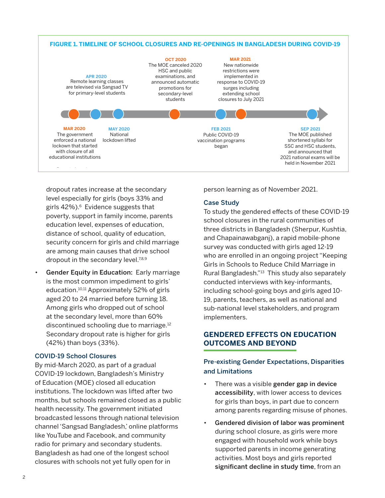

dropout rates increase at the secondary level especially for girls (boys 33% and girls  $42\%$ ).<sup>6</sup> Evidence suggests that poverty, support in family income, parents education level, expenses of education, distance of school, quality of education, security concern for girls and child marriage are among main causes that drive school dropout in the secondary level.<sup>7,8,9</sup>

Gender Equity in Education: Early marriage is the most common impediment to girls' education.<sup>10,11</sup> Approximately 52% of girls aged 20 to 24 married before turning 18. Among girls who dropped out of school at the secondary level, more than 60% discontinued schooling due to marriage.12 Secondary dropout rate is higher for girls (42%) than boys (33%).

#### COVID-19 School Closures

By mid-March 2020, as part of a gradual COVID-19 lockdown, Bangladesh's Ministry of Education (MOE) closed all education institutions. The lockdown was lifted after two months, but schools remained closed as a public health necessity. The government initiated broadcasted lessons through national television channel 'Sangsad Bangladesh,' online platforms like YouTube and Facebook, and community radio for primary and secondary students. Bangladesh as had one of the longest school closures with schools not yet fully open for in

person learning as of November 2021.

#### Case Study

To study the gendered effects of these COVID-19 school closures in the rural communities of three districts in Bangladesh (Sherpur, Kushtia, and Chapainawabganj), a rapid mobile-phone survey was conducted with girls aged 12-19 who are enrolled in an ongoing project "Keeping Girls in Schools to Reduce Child Marriage in Rural Bangladesh."<sup>13</sup> This study also separately conducted interviews with key-informants, including school-going boys and girls aged 10- 19, parents, teachers, as well as national and sub-national level stakeholders, and program implementers.

## **GENDERED EFFECTS ON EDUCATION OUTCOMES AND BEYOND**

## Pre-existing Gender Expectations, Disparities and Limitations

- There was a visible gender gap in device accessibility, with lower access to devices for girls than boys, in part due to concern among parents regarding misuse of phones.
- Gendered division of labor was prominent during school closure, as girls were more engaged with household work while boys supported parents in income generating activities. Most boys and girls reported significant decline in study time, from an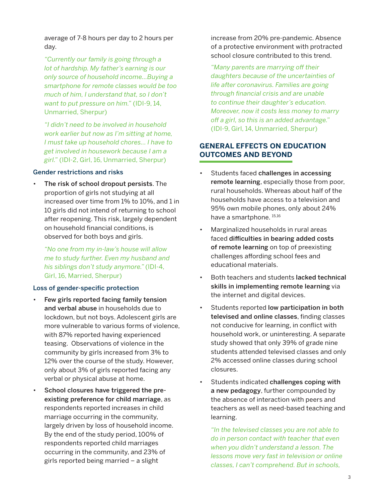average of 7-8 hours per day to 2 hours per day.

*"Currently our family is going through a lot of hardship. My father's earning is our only source of household income…Buying a smartphone for remote classes would be too much of him, I understand that, so I don't want to put pressure on him."* (IDI-9, 14, Unmarried, Sherpur)

*"I didn't need to be involved in household work earlier but now as I'm sitting at home, I must take up household chores… I have to get involved in housework because I am a girl."* (IDI-2, Girl, 16, Unmarried, Sherpur)

#### Gender restrictions and risks

The risk of school dropout persists. The proportion of girls not studying at all increased over time from 1% to 10%, and 1 in 10 girls did not intend of returning to school after reopening. This risk, largely dependent on household financial conditions, is observed for both boys and girls.

*"No one from my in-law's house will allow me to study further. Even my husband and his siblings don't study anymore."* (IDI-4, Girl, 16, Married, Sherpur)

#### Loss of gender-specific protection

- Few girls reported facing family tension and verbal abuse in households due to lockdown, but not boys. Adolescent girls are more vulnerable to various forms of violence, with 87% reported having experienced teasing. Observations of violence in the community by girls increased from 3% to 12% over the course of the study. However, only about 3% of girls reported facing any verbal or physical abuse at home.
- School closures have triggered the preexisting preference for child marriage, as respondents reported increases in child marriage occurring in the community, largely driven by loss of household income. By the end of the study period, 100% of respondents reported child marriages occurring in the community, and 23% of girls reported being married – a slight

increase from 20% pre-pandemic. Absence of a protective environment with protracted school closure contributed to this trend.

*"Many parents are marrying off their daughters because of the uncertainties of life after coronavirus. Families are going through financial crisis and are unable to continue their daughter's education. Moreover, now it costs less money to marry off a girl, so this is an added advantage."* (IDI-9, Girl, 14, Unmarried, Sherpur)

## **GENERAL EFFECTS ON EDUCATION OUTCOMES AND BEYOND**

- Students faced challenges in accessing remote learning, especially those from poor, rural households. Whereas about half of the households have access to a television and 95% own mobile phones, only about 24% have a smartphone.  $15,16$
- Marginalized households in rural areas faced difficulties in bearing added costs of remote learning on top of preexisting challenges affording school fees and educational materials.
- Both teachers and students lacked technical skills in implementing remote learning via the internet and digital devices.
- Students reported low participation in both televised and online classes, finding classes not conducive for learning, in conflict with household work, or uninteresting. A separate study showed that only 39% of grade nine students attended televised classes and only 2% accessed online classes during school closures.
- Students indicated challenges coping with a new pedagogy, further compounded by the absence of interaction with peers and teachers as well as need-based teaching and learning.

*"In the televised classes you are not able to do in person contact with teacher that even when you didn't understand a lesson. The lessons move very fast in television or online classes, I can't comprehend. But in schools,*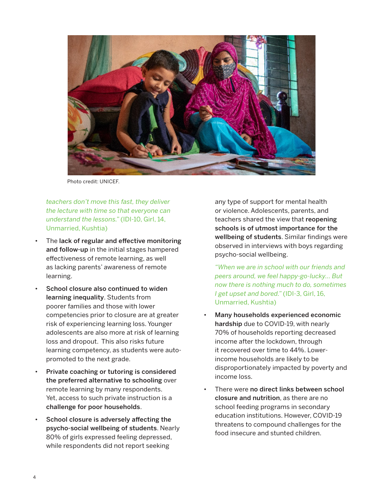

Photo credit: UNICEF.

*teachers don't move this fast, they deliver the lecture with time so that everyone can understand the lessons."* (IDI-10, Girl, 14, Unmarried, Kushtia)

- The lack of regular and effective monitoring and follow-up in the initial stages hampered effectiveness of remote learning, as well as lacking parents' awareness of remote learning.
- School closure also continued to widen learning inequality. Students from poorer families and those with lower competencies prior to closure are at greater risk of experiencing learning loss. Younger adolescents are also more at risk of learning loss and dropout. This also risks future learning competency, as students were autopromoted to the next grade.
- Private coaching or tutoring is considered the preferred alternative to schooling over remote learning by many respondents. Yet, access to such private instruction is a challenge for poor households.
- School closure is adversely affecting the psycho-social wellbeing of students. Nearly 80% of girls expressed feeling depressed, while respondents did not report seeking

any type of support for mental health or violence. Adolescents, parents, and teachers shared the view that reopening schools is of utmost importance for the wellbeing of students. Similar findings were observed in interviews with boys regarding psycho-social wellbeing.

*"When we are in school with our friends and peers around, we feel happy-go-lucky... But now there is nothing much to do, sometimes I get upset and bored."* (IDI-3, Girl, 16, Unmarried, Kushtia)

- Many households experienced economic hardship due to COVID-19, with nearly 70% of households reporting decreased income after the lockdown, through it recovered over time to 44%. Lowerincome households are likely to be disproportionately impacted by poverty and income loss.
- There were no direct links between school closure and nutrition, as there are no school feeding programs in secondary education institutions. However, COVID-19 threatens to compound challenges for the food insecure and stunted children.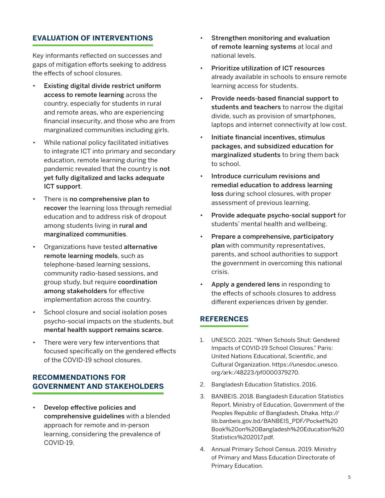## **EVALUATION OF INTERVENTIONS**

Key informants reflected on successes and gaps of mitigation efforts seeking to address the effects of school closures.

- Existing digital divide restrict uniform access to remote learning across the country, especially for students in rural and remote areas, who are experiencing financial insecurity, and those who are from marginalized communities including girls.
- While national policy facilitated initiatives to integrate ICT into primary and secondary education, remote learning during the pandemic revealed that the country is not yet fully digitalized and lacks adequate ICT support.
- There is no comprehensive plan to recover the learning loss through remedial education and to address risk of dropout among students living in rural and marginalized communities.
- Organizations have tested alternative remote learning models, such as telephone-based learning sessions, community radio-based sessions, and group study, but require coordination among stakeholders for effective implementation across the country.
- School closure and social isolation poses psycho-social impacts on the students, but mental health support remains scarce.
- There were very few interventions that focused specifically on the gendered effects of the COVID-19 school closures.

### **RECOMMENDATIONS FOR GOVERNMENT AND STAKEHOLDERS**

• Develop effective policies and comprehensive guidelines with a blended approach for remote and in-person learning, considering the prevalence of COVID-19.

- Strengthen monitoring and evaluation of remote learning systems at local and national levels.
- Prioritize utilization of ICT resources already available in schools to ensure remote learning access for students.
- Provide needs-based financial support to students and teachers to narrow the digital divide, such as provision of smartphones, laptops and internet connectivity at low cost.
- Initiate financial incentives, stimulus packages, and subsidized education for marginalized students to bring them back to school.
- Introduce curriculum revisions and remedial education to address learning loss during school closures, with proper assessment of previous learning.
- Provide adequate psycho-social support for students' mental health and wellbeing.
- Prepare a comprehensive, participatory plan with community representatives, parents, and school authorities to support the government in overcoming this national crisis.
- Apply a gendered lens in responding to the effects of schools closures to address different experiences driven by gender.

### **REFERENCES**

- 1. UNESCO. 2021. "When Schools Shut: Gendered Impacts of COVID-19 School Closures." Paris: United Nations Educational, Scientific, and Cultural Organization. [https://unesdoc.unesco.](https://unesdoc.unesco.org/ark:/48223/pf0000379270) [org/ark:/48223/pf0000379270](https://unesdoc.unesco.org/ark:/48223/pf0000379270).
- 2. Bangladesh Education Statistics. 2016.
- 3. BANBEIS. 2018. Bangladesh Education Statistics Report. Ministry of Education, Government of the Peoples Republic of Bangladesh, Dhaka. [http://](http://lib.banbeis.gov.bd/BANBEIS_PDF/Pocket%20Book%20on%20Bangladesh%20Education%20Statistics%202017.pdf) [lib.banbeis.gov.bd/BANBEIS\\_PDF/Pocket%20](http://lib.banbeis.gov.bd/BANBEIS_PDF/Pocket%20Book%20on%20Bangladesh%20Education%20Statistics%202017.pdf) [Book%20on%20Bangladesh%20Education%20](http://lib.banbeis.gov.bd/BANBEIS_PDF/Pocket%20Book%20on%20Bangladesh%20Education%20Statistics%202017.pdf) [Statistics%202017.pdf](http://lib.banbeis.gov.bd/BANBEIS_PDF/Pocket%20Book%20on%20Bangladesh%20Education%20Statistics%202017.pdf).
- 4. Annual Primary School Census. 2019. Ministry of Primary and Mass Education Directorate of Primary Education.